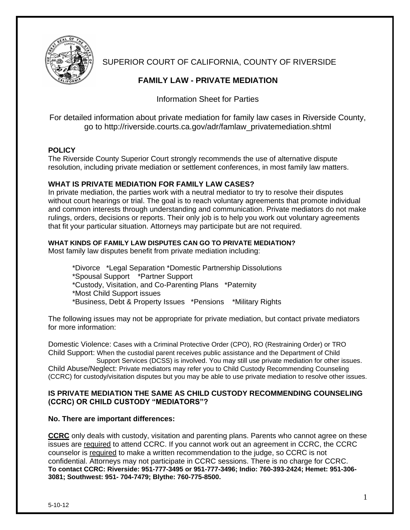

SUPERIOR COURT OF CALIFORNIA, COUNTY OF RIVERSIDE

# **FAMILY LAW - PRIVATE MEDIATION**

Information Sheet for Parties

For detailed information about private mediation for family law cases in Riverside County, go to [http://riverside.courts.ca.gov/adr/famlaw\\_privatemediation.shtml](http://riverside.courts.ca.gov/adr/famlaw_privatemediation.shtml)

# **POLICY**

The Riverside County Superior Court strongly recommends the use of alternative dispute resolution, including private mediation or settlement conferences, in most family law matters.

# **WHAT IS PRIVATE MEDIATION FOR FAMILY LAW CASES?**

In private mediation, the parties work with a neutral mediator to try to resolve their disputes without court hearings or trial. The goal is to reach voluntary agreements that promote individual and common interests through understanding and communication. Private mediators do not make rulings, orders, decisions or reports. Their only job is to help you work out voluntary agreements that fit your particular situation. Attorneys may participate but are not required.

# **WHAT KINDS OF FAMILY LAW DISPUTES CAN GO TO PRIVATE MEDIATION?**

Most family law disputes benefit from private mediation including:

\*Divorce \*Legal Separation \*Domestic Partnership Dissolutions \*Spousal Support \*Partner Support \*Custody, Visitation, and Co-Parenting Plans \*Paternity \*Most Child Support issues \*Business, Debt & Property Issues \*Pensions \*Military Rights

The following issues may not be appropriate for private mediation, but contact private mediators for more information:

Domestic Violence: Cases with a Criminal Protective Order (CPO), RO (Restraining Order) or TRO Child Support: When the custodial parent receives public assistance and the Department of Child

Support Services (DCSS) is involved. You may still use private mediation for other issues. Child Abuse/Neglect: Private mediators may refer you to Child Custody Recommending Counseling (CCRC) for custody/visitation disputes but you may be able to use private mediation to resolve other issues.

## **IS PRIVATE MEDIATION THE SAME AS CHILD CUSTODY RECOMMENDING COUNSELING (CCRC) OR CHILD CUSTODY "MEDIATORS"?**

# **No. There are important differences:**

**CCRC** only deals with custody, visitation and parenting plans. Parents who cannot agree on these issues are required to attend CCRC. If you cannot work out an agreement in CCRC, the CCRC counselor is required to make a written recommendation to the judge, so CCRC is not confidential. Attorneys may not participate in CCRC sessions. There is no charge for CCRC. **To contact CCRC: Riverside: 951-777-3495 or 951-777-3496; Indio: 760-393-2424; Hemet: 951-306- 3081; Southwest: 951- 704-7479; Blythe: 760-775-8500.**